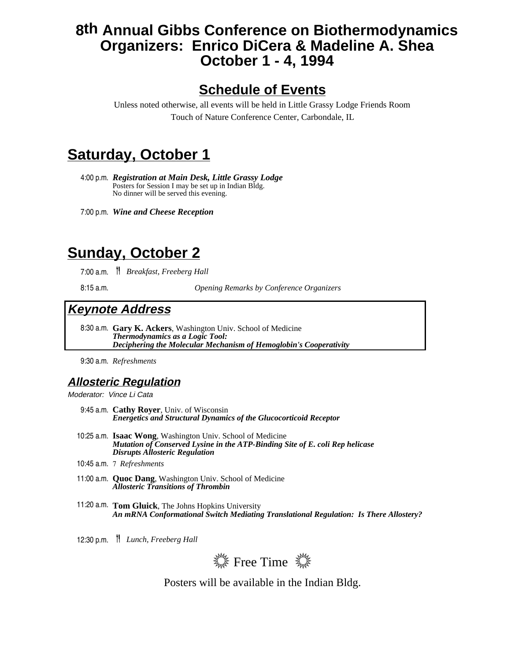## **8th Annual Gibbs Conference on Biothermodynamics Organizers: Enrico DiCera & Madeline A. Shea October 1 - 4, 1994**

## **Schedule of Events**

Unless noted otherwise, all events will be held in Little Grassy Lodge Friends Room Touch of Nature Conference Center, Carbondale, IL

# **Saturday, October 1**

4:00 p.m. *Registration at Main Desk, Little Grassy Lodge* Posters for Session I may be set up in Indian Bldg. No dinner will be served this evening.

7:00 p.m. *Wine and Cheese Reception*

## **Sunday, October 2**

7:00 a.m. ≥ *Breakfast, Freeberg Hall*

8:15 a.m. *Opening Remarks by Conference Organizers*

#### **Keynote Address**

8:30 a.m. **Gary K. Ackers**, Washington Univ. School of Medicine *Thermodynamics as a Logic Tool: Deciphering the Molecular Mechanism of Hemoglobin's Cooperativity*

9:30 a.m. *Refreshments*

#### **Allosteric Regulation**

Moderator: Vince Li Cata

- 9:45 a.m. **Cathy Royer**, Univ. of Wisconsin *Energetics and Structural Dynamics of the Glucocorticoid Receptor*
- 10:25 a.m. **Isaac Wong**, Washington Univ. School of Medicine *Mutation of Conserved Lysine in the ATP-Binding Site of E. coli Rep helicase Disrupts Allosteric Regulation*
- 10:45 a.m. 7 *Refreshments*
- 11:00 a.m. **Quoc Dang**, Washington Univ. School of Medicine *Allosteric Transitions of Thrombin*
- 11:20 a.m. **Tom Gluick**, The Johns Hopkins University *An mRNA Conformational Switch Mediating Translational Regulation: Is There Allostery?*
- 12:30 p.m. ≥ *Lunch, Freeberg Hall*



Posters will be available in the Indian Bldg.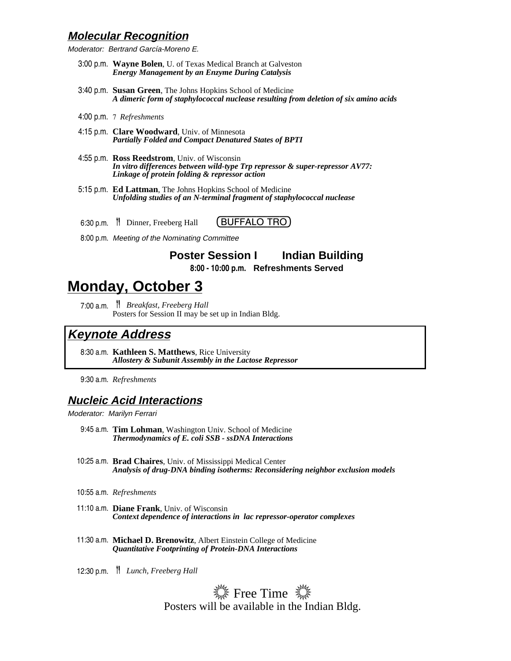#### **Molecular Recognition**

Moderator: Bertrand García-Moreno E.

- 3:00 p.m. **Wayne Bolen**, U. of Texas Medical Branch at Galveston *Energy Management by an Enzyme During Catalysis*
- 3:40 p.m. **Susan Green**, The Johns Hopkins School of Medicine *A dimeric form of staphylococcal nuclease resulting from deletion of six amino acids*
- 4:00 p.m. 7 *Refreshments*
- 4:15 p.m. **Clare Woodward**, Univ. of Minnesota *Partially Folded and Compact Denatured States of BPTI*
- 4:55 p.m. **Ross Reedstrom**, Univ. of Wisconsin *In vitro differences between wild-type Trp repressor & super-repressor AV77: Linkage of protein folding & repressor action*
- 5:15 p.m. **Ed Lattman**, The Johns Hopkins School of Medicine *Unfolding studies of an N-terminal fragment of staphylococcal nuclease*

6:30 p.m. <sup>1</sup> Dinner, Freeberg Hall **(BUFFALO TRO)** 

8:00 p.m. Meeting of the Nominating Committee

**Poster Session I Indian Building 8:00 - 10:00 p.m. Refreshments Served**

# **Monday, October 3**

7:00 a.m. <sup>7</sup> *Breakfast, Freeberg Hall* Posters for Session II may be set up in Indian Bldg.

#### **Keynote Address**

8:30 a.m. **Kathleen S. Matthews**, Rice University *Allostery & Subunit Assembly in the Lactose Repressor*

9:30 a.m. *Refreshments*

#### **Nucleic Acid Interactions**

Moderator: Marilyn Ferrari

- 9:45 a.m. **Tim Lohman**, Washington Univ. School of Medicine *Thermodynamics of E. coli SSB - ssDNA Interactions*
- 10:25 a.m. **Brad Chaires**, Univ. of Mississippi Medical Center *Analysis of drug-DNA binding isotherms: Reconsidering neighbor exclusion models*
- 10:55 a.m. *Refreshments*
- 11:10 a.m. **Diane Frank**, Univ. of Wisconsin *Context dependence of interactions in lac repressor-operator complexes*
- 11:30 a.m. **Michael D. Brenowitz**, Albert Einstein College of Medicine *Quantitative Footprinting of Protein-DNA Interactions*

12:30 p.m. ≥ *Lunch, Freeberg Hall*

 $\frac{1}{2}$  Free Time  $\frac{1}{2}$ Posters will be available in the Indian Bldg.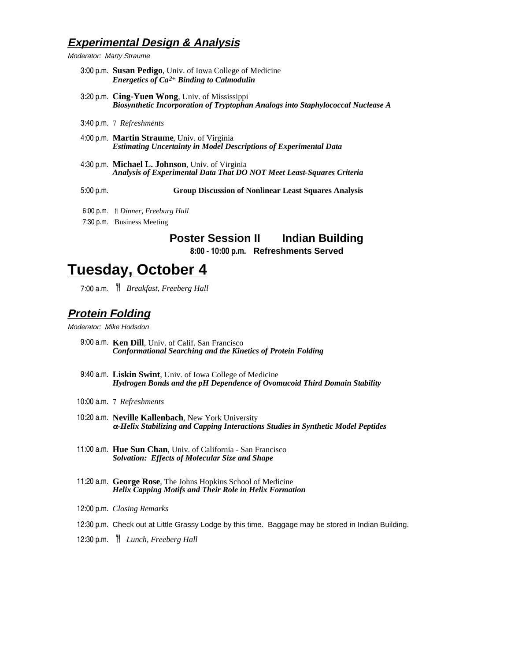#### **Experimental Design & Analysis**

Moderator: Marty Straume

- 3:00 p.m. **Susan Pedigo**, Univ. of Iowa College of Medicine *Energetics of Ca2+ Binding to Calmodulin*
- 3:20 p.m. **Cing-Yuen Wong**, Univ. of Mississippi *Biosynthetic Incorporation of Tryptophan Analogs into Staphylococcal Nuclease A*
- 3:40 p.m. 7 *Refreshments*
- 4:00 p.m. **Martin Straume**, Univ. of Virginia *Estimating Uncertainty in Model Descriptions of Experimental Data*
- 4:30 p.m. **Michael L. Johnson**, Univ. of Virginia *Analysis of Experimental Data That DO NOT Meet Least-Squares Criteria*

5:00 p.m. **Group Discussion of Nonlinear Least Squares Analysis**

- 6:00 p.m. ≥*Dinner, Freeburg Hall*
- 7:30 p.m. Business Meeting

#### **Poster Session II Indian Building**

**8:00 - 10:00 p.m. Refreshments Served**

## **Tuesday, October 4**

7:00 a.m. ≥ *Breakfast, Freeberg Hall*

#### **Protein Folding**

Moderator: Mike Hodsdon

- 9:00 a.m. **Ken Dill**, Univ. of Calif. San Francisco *Conformational Searching and the Kinetics of Protein Folding*
- 9:40 a.m. **Liskin Swint**, Univ. of Iowa College of Medicine *Hydrogen Bonds and the pH Dependence of Ovomucoid Third Domain Stability*
- 10:00 a.m. 7 *Refreshments*
- 10:20 a.m. **Neville Kallenbach**, New York University <sup>α</sup>*-Helix Stabilizing and Capping Interactions Studies in Synthetic Model Peptides*
- 11:00 a.m. **Hue Sun Chan**, Univ. of California San Francisco *Solvation: Effects of Molecular Size and Shape*
- 11:20 a.m. **George Rose**, The Johns Hopkins School of Medicine *Helix Capping Motifs and Their Role in Helix Formation*
- 12:00 p.m. *Closing Remarks*
- 12:30 p.m. Check out at Little Grassy Lodge by this time. Baggage may be stored in Indian Building.
- 12:30 p.m. <sup>|</sup> *Lunch, Freeberg Hall*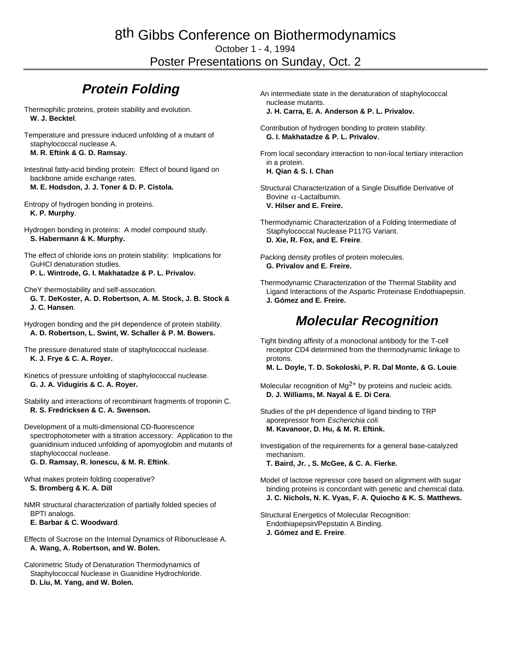## 8th Gibbs Conference on Biothermodynamics

October 1 - 4, 1994

Poster Presentations on Sunday, Oct. 2

## **Protein Folding**

- Thermophilic proteins, protein stability and evolution. **W. J. Becktel**.
- Temperature and pressure induced unfolding of a mutant of staphylococcal nuclease A. **M. R. Eftink & G. D. Ramsay.**

Intestinal fatty-acid binding protein: Effect of bound ligand on backbone amide exchange rates. **M. E. Hodsdon, J. J. Toner & D. P. Cistola.**

- Entropy of hydrogen bonding in proteins. **K. P. Murphy**.
- Hydrogen bonding in proteins: A model compound study. **S. Habermann & K. Murphy.**
- The effect of chloride ions on protein stability: Implications for GuHCl denaturation studies.
- **P. L. Wintrode, G. I. Makhatadze & P. L. Privalov.**
- CheY thermostability and self-assocation.
- **G. T. DeKoster, A. D. Robertson, A. M. Stock, J. B. Stock & J. C. Hansen**.
- Hydrogen bonding and the pH dependence of protein stability. **A. D. Robertson, L. Swint, W. Schaller & P. M. Bowers.**
- The pressure denatured state of staphylococcal nuclease. **K. J. Frye & C. A. Royer.**
- Kinetics of pressure unfolding of staphylococcal nuclease. **G. J. A. Vidugiris & C. A. Royer.**
- Stability and interactions of recombinant fragments of troponin C. **R. S. Fredricksen & C. A. Swenson.**
- Development of a multi-dimensional CD-fluorescence spectrophotometer with a titration accessory: Application to the guanidinium induced unfolding of apomyoglobin and mutants of staphylococcal nuclease.

**G. D. Ramsay, R. Ionescu, & M. R. Eftink**.

- What makes protein folding cooperative? **S. Bromberg & K. A. Dill**
- NMR structural characterization of partially folded species of BPTI analogs. **E. Barbar & C. Woodward**.
- Effects of Sucrose on the Internal Dynamics of Ribonuclease A. **A. Wang, A. Robertson, and W. Bolen.**
- Calorimetric Study of Denaturation Thermodynamics of Staphylococcal Nuclease in Guanidine Hydrochloride. **D. Liu, M. Yang, and W. Bolen.**
- An intermediate state in the denaturation of staphylococcal nuclease mutants. **J. H. Carra, E. A. Anderson & P. L. Privalov.**
- Contribution of hydrogen bonding to protein stability. **G. I. Makhatadze & P. L. Privalov.**
- From local secondary interaction to non-local tertiary interaction in a protein.
	- **H. Qian & S. I. Chan**
- Structural Characterization of a Single Disulfide Derivative of Bovine  $\alpha$  -Lactalbumin. **V. Hilser and E. Freire.**
- Thermodynamic Characterization of a Folding Intermediate of Staphylococcal Nuclease P117G Variant. **D. Xie, R. Fox, and E. Freire**.
- Packing density profiles of protein molecules. **G. Privalov and E. Freire.**
- Thermodynamic Characterization of the Thermal Stability and Ligand Interactions of the Aspartic Proteinase Endothiapepsin. **J. Gómez and E. Freire.**

### **Molecular Recognition**

Tight binding affinity of a monoclonal antibody for the T-cell receptor CD4 determined from the thermodynamic linkage to protons.

**M. L. Doyle, T. D. Sokoloski, P. R. Dal Monte, & G. Louie**.

- Molecular recognition of Mg<sup>2+</sup> by proteins and nucleic acids. **D. J. Williams, M. Nayal & E. Di Cera**.
- Studies of the pH dependence of ligand binding to TRP aporepressor from Escherichia coli. **M. Kavanoor, D. Hu, & M. R. Eftink.**
- Investigation of the requirements for a general base-catalyzed mechanism. **T. Baird, Jr. , S. McGee, & C. A. Fierke.**
- Model of lactose repressor core based on alignment with sugar binding proteins is concordant with genetic and chemical data. **J. C. Nichols, N. K. Vyas, F. A. Quiocho & K. S. Matthews.**
- Structural Energetics of Molecular Recognition: Endothiapepsin/Pepstatin A Binding. **J. Gómez and E. Freire**.